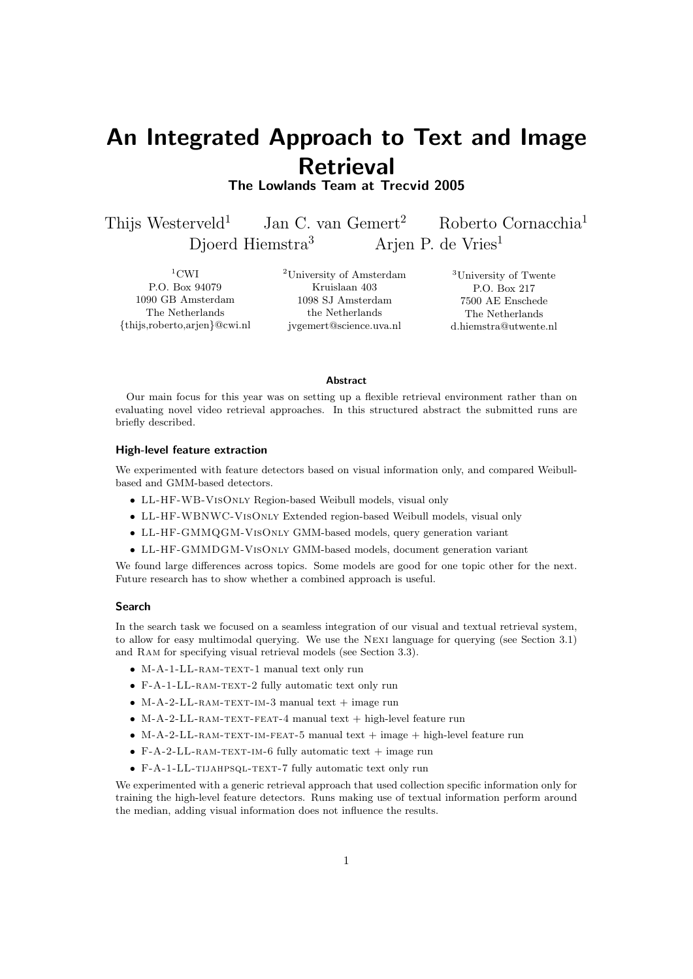# An Integrated Approach to Text and Image **Retrieval**

The Lowlands Team at Trecvid 2005

Thijs Westerveld<sup>1</sup> Jan C. van Gemert<sup>2</sup> Roberto Cornacchia<sup>1</sup> Djoerd Hiemstra<sup>3</sup> Arjen P. de Vries<sup>1</sup>

 $1$ CWI P.O. Box 94079 1090 GB Amsterdam The Netherlands {thijs,roberto,arjen}@cwi.nl <sup>2</sup>University of Amsterdam Kruislaan 403 1098 SJ Amsterdam the Netherlands jvgemert@science.uva.nl

<sup>3</sup>University of Twente P.O. Box 217 7500 AE Enschede The Netherlands d.hiemstra@utwente.nl

#### Abstract

Our main focus for this year was on setting up a flexible retrieval environment rather than on evaluating novel video retrieval approaches. In this structured abstract the submitted runs are briefly described.

## High-level feature extraction

We experimented with feature detectors based on visual information only, and compared Weibullbased and GMM-based detectors.

- LL-HF-WB-VisOnly Region-based Weibull models, visual only
- LL-HF-WBNWC-VisOnly Extended region-based Weibull models, visual only
- LL-HF-GMMQGM-VisOnly GMM-based models, query generation variant
- LL-HF-GMMDGM-VisOnly GMM-based models, document generation variant

We found large differences across topics. Some models are good for one topic other for the next. Future research has to show whether a combined approach is useful.

### Search

In the search task we focused on a seamless integration of our visual and textual retrieval system, to allow for easy multimodal querying. We use the Nexi language for querying (see Section 3.1) and Ram for specifying visual retrieval models (see Section 3.3).

- M-A-1-LL-RAM-TEXT-1 manual text only run
- F-A-1-LL-RAM-TEXT-2 fully automatic text only run
- $M-A-2-LL-RAM-TEXT-IM-3 manual text + image run$
- $M-A-2-LL-RAM-TEXT-FEAT-4$  manual text + high-level feature run
- $M-A-2-LL-RAM-TEXT-IM-FEAT-5 manual text + image + high-level feature run$
- $F-A-2-LL-RAM-TEXT-IM-6 fully automatic text + image run$
- F-A-1-LL-tijahpsql-text-7 fully automatic text only run

We experimented with a generic retrieval approach that used collection specific information only for training the high-level feature detectors. Runs making use of textual information perform around the median, adding visual information does not influence the results.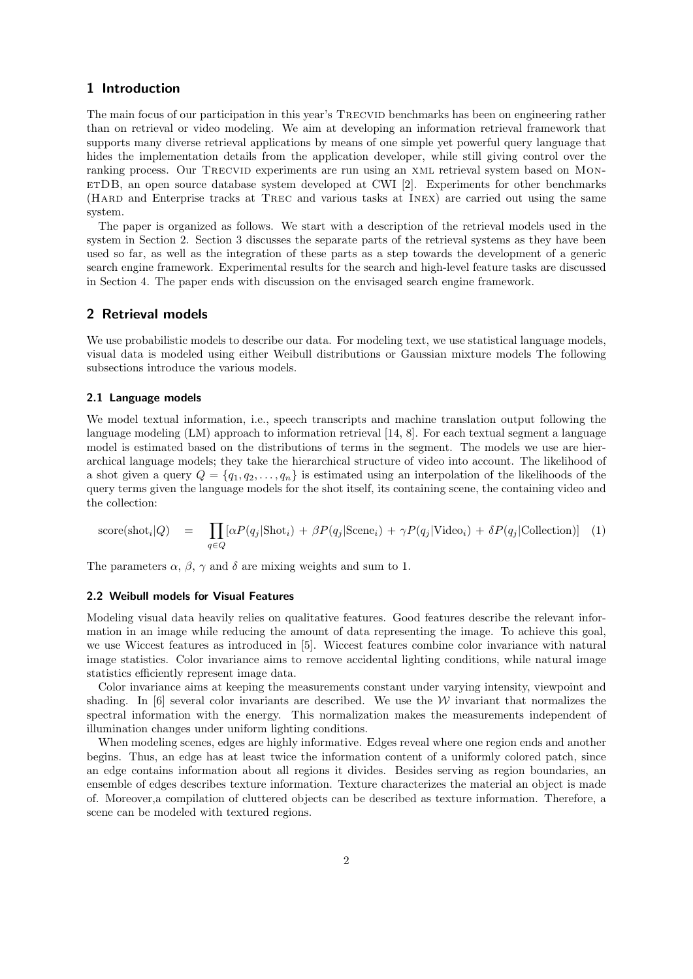# 1 Introduction

The main focus of our participation in this year's TRECVID benchmarks has been on engineering rather than on retrieval or video modeling. We aim at developing an information retrieval framework that supports many diverse retrieval applications by means of one simple yet powerful query language that hides the implementation details from the application developer, while still giving control over the ranking process. Our Trecvid experiments are run using an xml retrieval system based on MonetDB, an open source database system developed at CWI [2]. Experiments for other benchmarks (Hard and Enterprise tracks at Trec and various tasks at Inex) are carried out using the same system.

The paper is organized as follows. We start with a description of the retrieval models used in the system in Section 2. Section 3 discusses the separate parts of the retrieval systems as they have been used so far, as well as the integration of these parts as a step towards the development of a generic search engine framework. Experimental results for the search and high-level feature tasks are discussed in Section 4. The paper ends with discussion on the envisaged search engine framework.

# 2 Retrieval models

We use probabilistic models to describe our data. For modeling text, we use statistical language models, visual data is modeled using either Weibull distributions or Gaussian mixture models The following subsections introduce the various models.

## 2.1 Language models

We model textual information, i.e., speech transcripts and machine translation output following the language modeling (LM) approach to information retrieval [14, 8]. For each textual segment a language model is estimated based on the distributions of terms in the segment. The models we use are hierarchical language models; they take the hierarchical structure of video into account. The likelihood of a shot given a query  $Q = \{q_1, q_2, \ldots, q_n\}$  is estimated using an interpolation of the likelihoods of the query terms given the language models for the shot itself, its containing scene, the containing video and the collection:

score(shot<sub>i</sub>|Q) = 
$$
\prod_{q \in Q} [\alpha P(q_j | \text{Shot}_i) + \beta P(q_j | \text{Scene}_i) + \gamma P(q_j | \text{Video}_i) + \delta P(q_j | \text{Collection})]
$$
 (1)

The parameters  $\alpha$ ,  $\beta$ ,  $\gamma$  and  $\delta$  are mixing weights and sum to 1.

## 2.2 Weibull models for Visual Features

Modeling visual data heavily relies on qualitative features. Good features describe the relevant information in an image while reducing the amount of data representing the image. To achieve this goal, we use Wiccest features as introduced in [5]. Wiccest features combine color invariance with natural image statistics. Color invariance aims to remove accidental lighting conditions, while natural image statistics efficiently represent image data.

Color invariance aims at keeping the measurements constant under varying intensity, viewpoint and shading. In [6] several color invariants are described. We use the  $W$  invariant that normalizes the spectral information with the energy. This normalization makes the measurements independent of illumination changes under uniform lighting conditions.

When modeling scenes, edges are highly informative. Edges reveal where one region ends and another begins. Thus, an edge has at least twice the information content of a uniformly colored patch, since an edge contains information about all regions it divides. Besides serving as region boundaries, an ensemble of edges describes texture information. Texture characterizes the material an object is made of. Moreover,a compilation of cluttered objects can be described as texture information. Therefore, a scene can be modeled with textured regions.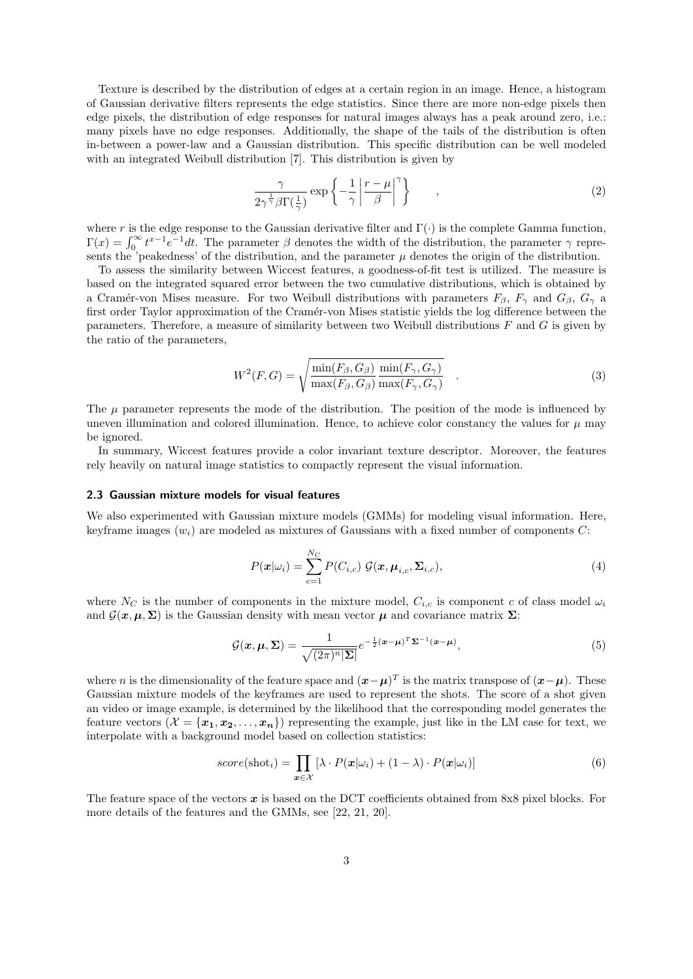Texture is described by the distribution of edges at a certain region in an image. Hence, a histogram of Gaussian derivative filters represents the edge statistics. Since there are more non-edge pixels then edge pixels, the distribution of edge responses for natural images always has a peak around zero, i.e.: many pixels have no edge responses. Additionally, the shape of the tails of the distribution is often in-between a power-law and a Gaussian distribution. This specific distribution can be well modeled with an integrated Weibull distribution [7]. This distribution is given by

$$
\frac{\gamma}{2\gamma^{\frac{1}{\gamma}}\beta\Gamma(\frac{1}{\gamma})}\exp\left\{-\frac{1}{\gamma}\left|\frac{r-\mu}{\beta}\right|^{\gamma}\right\}\n\tag{2}
$$

where r is the edge response to the Gaussian derivative filter and  $\Gamma(\cdot)$  is the complete Gamma function,  $\Gamma(x) = \int_0^\infty t^{x-1} e^{-t} dt$ . The parameter  $\beta$  denotes the width of the distribution, the parameter  $\gamma$  represents the 'peakedness' of the distribution, and the parameter  $\mu$  denotes the origin of the distribution.

To assess the similarity between Wiccest features, a goodness-of-fit test is utilized. The measure is based on the integrated squared error between the two cumulative distributions, which is obtained by a Cramér-von Mises measure. For two Weibull distributions with parameters  $F_\beta$ ,  $F_\gamma$  and  $G_\beta$ ,  $G_\gamma$  a first order Taylor approximation of the Cramér-von Mises statistic yields the log difference between the parameters. Therefore, a measure of similarity between two Weibull distributions F and G is given by the ratio of the parameters,

$$
W^{2}(F,G) = \sqrt{\frac{\min(F_{\beta}, G_{\beta})}{\max(F_{\beta}, G_{\beta})}\frac{\min(F_{\gamma}, G_{\gamma})}{\max(F_{\gamma}, G_{\gamma})}} \quad .
$$
\n(3)

The  $\mu$  parameter represents the mode of the distribution. The position of the mode is influenced by uneven illumination and colored illumination. Hence, to achieve color constancy the values for  $\mu$  may be ignored.

In summary, Wiccest features provide a color invariant texture descriptor. Moreover, the features rely heavily on natural image statistics to compactly represent the visual information.

#### 2.3 Gaussian mixture models for visual features

We also experimented with Gaussian mixture models (GMMs) for modeling visual information. Here, keyframe images  $(w_i)$  are modeled as mixtures of Gaussians with a fixed number of components C:

$$
P(\boldsymbol{x}|\omega_i) = \sum_{c=1}^{N_C} P(C_{i,c}) \mathcal{G}(\boldsymbol{x}, \boldsymbol{\mu}_{i,c}, \boldsymbol{\Sigma}_{i,c}),
$$
\n(4)

where  $N_C$  is the number of components in the mixture model,  $C_{i,c}$  is component c of class model  $\omega_i$ and  $\mathcal{G}(\mathbf{x}, \mu, \Sigma)$  is the Gaussian density with mean vector  $\mu$  and covariance matrix  $\Sigma$ :

$$
\mathcal{G}(\boldsymbol{x}, \boldsymbol{\mu}, \boldsymbol{\Sigma}) = \frac{1}{\sqrt{(2\pi)^n |\boldsymbol{\Sigma}|}} e^{-\frac{1}{2}(\boldsymbol{x} - \boldsymbol{\mu})^T \boldsymbol{\Sigma}^{-1}(\boldsymbol{x} - \boldsymbol{\mu})},\tag{5}
$$

where n is the dimensionality of the feature space and  $(\bm{x}-\bm{\mu})^T$  is the matrix transpose of  $(\bm{x}-\bm{\mu})$ . These Gaussian mixture models of the keyframes are used to represent the shots. The score of a shot given an video or image example, is determined by the likelihood that the corresponding model generates the feature vectors  $(\mathcal{X} = {\mathbf{x}_1, \mathbf{x}_2, \dots, \mathbf{x}_n}$  representing the example, just like in the LM case for text, we interpolate with a background model based on collection statistics:

$$
score(\text{shot}_{i}) = \prod_{\boldsymbol{x} \in \mathcal{X}} [\lambda \cdot P(\boldsymbol{x}|\omega_{i}) + (1 - \lambda) \cdot P(\boldsymbol{x}|\omega_{i})]
$$
(6)

The feature space of the vectors  $x$  is based on the DCT coefficients obtained from 8x8 pixel blocks. For more details of the features and the GMMs, see [22, 21, 20].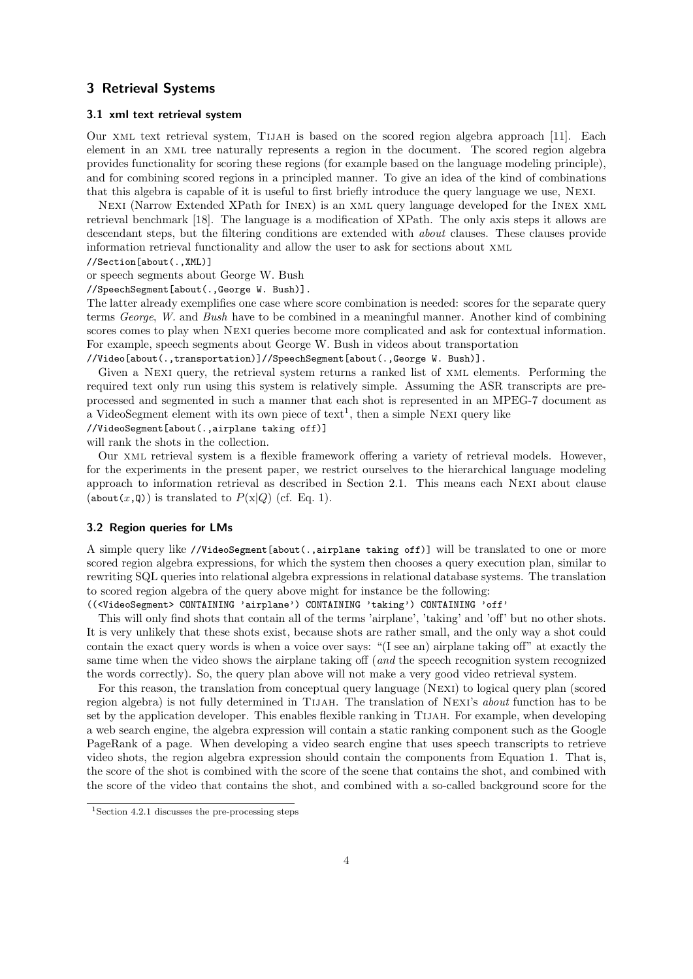# 3 Retrieval Systems

## 3.1 xml text retrieval system

Our xml text retrieval system, Tijah is based on the scored region algebra approach [11]. Each element in an xml tree naturally represents a region in the document. The scored region algebra provides functionality for scoring these regions (for example based on the language modeling principle), and for combining scored regions in a principled manner. To give an idea of the kind of combinations that this algebra is capable of it is useful to first briefly introduce the query language we use, Nexi.

Nexi (Narrow Extended XPath for Inex) is an xml query language developed for the Inex xml retrieval benchmark [18]. The language is a modification of XPath. The only axis steps it allows are descendant steps, but the filtering conditions are extended with *about* clauses. These clauses provide information retrieval functionality and allow the user to ask for sections about xml

//Section[about(.,XML)]

or speech segments about George W. Bush

//SpeechSegment[about(.,George W. Bush)].

The latter already exemplifies one case where score combination is needed: scores for the separate query terms George, W. and Bush have to be combined in a meaningful manner. Another kind of combining scores comes to play when Nexi queries become more complicated and ask for contextual information. For example, speech segments about George W. Bush in videos about transportation

//Video[about(.,transportation)]//SpeechSegment[about(.,George W. Bush)].

Given a Nexi query, the retrieval system returns a ranked list of xml elements. Performing the required text only run using this system is relatively simple. Assuming the ASR transcripts are preprocessed and segmented in such a manner that each shot is represented in an MPEG-7 document as a VideoSegment element with its own piece of  $text{text}^1$ , then a simple NEXI query like

//VideoSegment[about(.,airplane taking off)]

will rank the shots in the collection.

Our xml retrieval system is a flexible framework offering a variety of retrieval models. However, for the experiments in the present paper, we restrict ourselves to the hierarchical language modeling approach to information retrieval as described in Section 2.1. This means each Nexi about clause (about  $(x, Q)$ ) is translated to  $P(x|Q)$  (cf. Eq. 1).

## 3.2 Region queries for LMs

A simple query like //VideoSegment[about(.,airplane taking off)] will be translated to one or more scored region algebra expressions, for which the system then chooses a query execution plan, similar to rewriting SQL queries into relational algebra expressions in relational database systems. The translation to scored region algebra of the query above might for instance be the following:

((<VideoSegment> CONTAINING 'airplane') CONTAINING 'taking') CONTAINING 'off'

This will only find shots that contain all of the terms 'airplane', 'taking' and 'off' but no other shots. It is very unlikely that these shots exist, because shots are rather small, and the only way a shot could contain the exact query words is when a voice over says: "(I see an) airplane taking off" at exactly the same time when the video shows the airplane taking off (and the speech recognition system recognized the words correctly). So, the query plan above will not make a very good video retrieval system.

For this reason, the translation from conceptual query language (Nexi) to logical query plan (scored region algebra) is not fully determined in TIJAH. The translation of NEXI's *about* function has to be set by the application developer. This enables flexible ranking in TIJAH. For example, when developing a web search engine, the algebra expression will contain a static ranking component such as the Google PageRank of a page. When developing a video search engine that uses speech transcripts to retrieve video shots, the region algebra expression should contain the components from Equation 1. That is, the score of the shot is combined with the score of the scene that contains the shot, and combined with the score of the video that contains the shot, and combined with a so-called background score for the

<sup>&</sup>lt;sup>1</sup>Section 4.2.1 discusses the pre-processing steps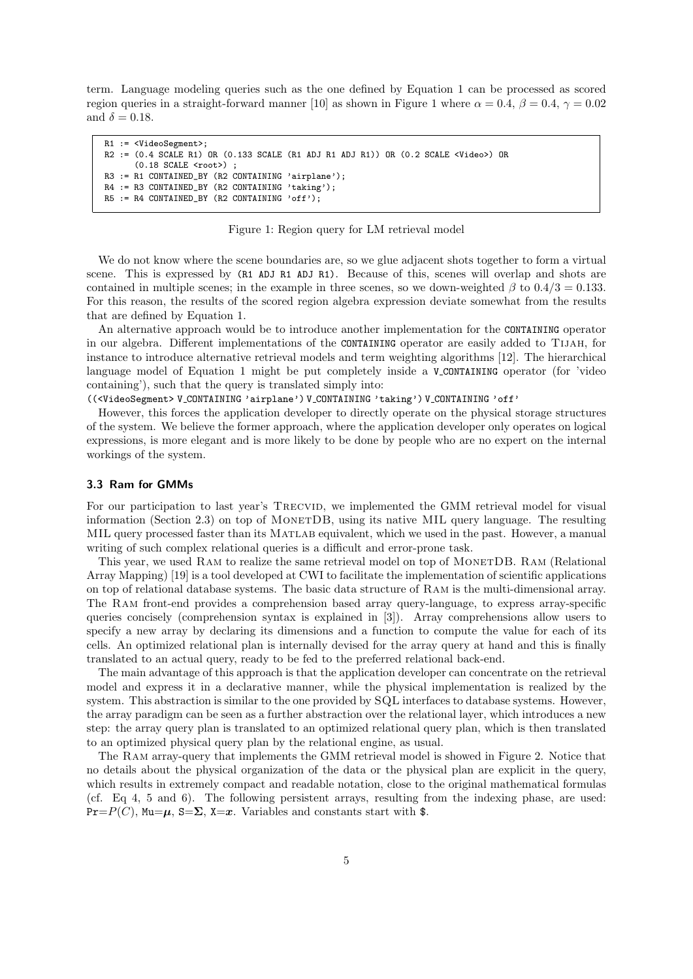term. Language modeling queries such as the one defined by Equation 1 can be processed as scored region queries in a straight-forward manner [10] as shown in Figure 1 where  $\alpha = 0.4$ ,  $\beta = 0.4$ ,  $\gamma = 0.02$ and  $\delta = 0.18$ .

```
R1 := <VideoSegment>;
R2 := (0.4 SCALE R1) OR (0.133 SCALE (R1 ADJ R1 ADJ R1)) OR (0.2 SCALE <Video>) OR
      (0.18 SCALE <root>) ;
R3 := R1 CONTAINED_BY (R2 CONTAINING 'airplane');
R4 := R3 CONTAINED BY (R2 CONTAINING 'taking');
R5 := R4 CONTAINED_BY (R2 CONTAINING 'off');
```
#### Figure 1: Region query for LM retrieval model

We do not know where the scene boundaries are, so we glue adjacent shots together to form a virtual scene. This is expressed by (R1 ADJ R1 ADJ R1). Because of this, scenes will overlap and shots are contained in multiple scenes; in the example in three scenes, so we down-weighted  $\beta$  to  $0.4/3 = 0.133$ . For this reason, the results of the scored region algebra expression deviate somewhat from the results that are defined by Equation 1.

An alternative approach would be to introduce another implementation for the CONTAINING operator in our algebra. Different implementations of the CONTAINING operator are easily added to Tijah, for instance to introduce alternative retrieval models and term weighting algorithms [12]. The hierarchical language model of Equation 1 might be put completely inside a V\_CONTAINING operator (for 'video containing'), such that the query is translated simply into:

((<VideoSegment> V CONTAINING 'airplane') V CONTAINING 'taking') V CONTAINING 'off'

However, this forces the application developer to directly operate on the physical storage structures of the system. We believe the former approach, where the application developer only operates on logical expressions, is more elegant and is more likely to be done by people who are no expert on the internal workings of the system.

## 3.3 Ram for GMMs

For our participation to last year's TRECVID, we implemented the GMM retrieval model for visual information (Section 2.3) on top of MonetDB, using its native MIL query language. The resulting MIL query processed faster than its MATLAB equivalent, which we used in the past. However, a manual writing of such complex relational queries is a difficult and error-prone task.

This year, we used RAM to realize the same retrieval model on top of MONETDB. RAM (Relational Array Mapping) [19] is a tool developed at CWI to facilitate the implementation of scientific applications on top of relational database systems. The basic data structure of Ram is the multi-dimensional array. The Ram front-end provides a comprehension based array query-language, to express array-specific queries concisely (comprehension syntax is explained in [3]). Array comprehensions allow users to specify a new array by declaring its dimensions and a function to compute the value for each of its cells. An optimized relational plan is internally devised for the array query at hand and this is finally translated to an actual query, ready to be fed to the preferred relational back-end.

The main advantage of this approach is that the application developer can concentrate on the retrieval model and express it in a declarative manner, while the physical implementation is realized by the system. This abstraction is similar to the one provided by SQL interfaces to database systems. However, the array paradigm can be seen as a further abstraction over the relational layer, which introduces a new step: the array query plan is translated to an optimized relational query plan, which is then translated to an optimized physical query plan by the relational engine, as usual.

The Ram array-query that implements the GMM retrieval model is showed in Figure 2. Notice that no details about the physical organization of the data or the physical plan are explicit in the query, which results in extremely compact and readable notation, close to the original mathematical formulas (cf. Eq 4, 5 and 6). The following persistent arrays, resulting from the indexing phase, are used:  $Pr=P(C)$ , Mu $=\mu$ , S $=\Sigma$ , X $=\infty$ . Variables and constants start with \$.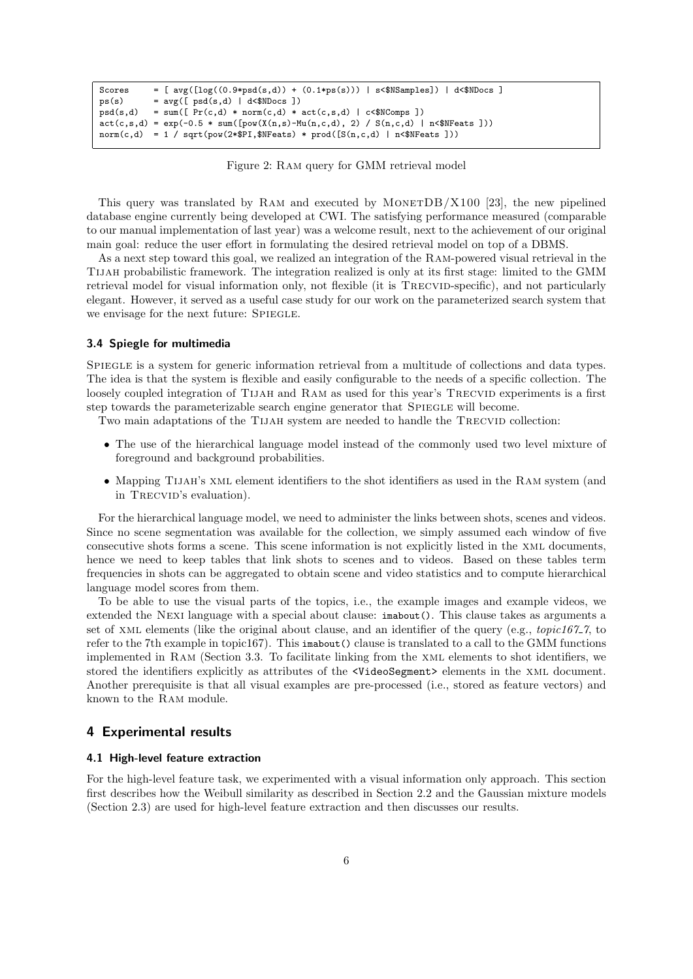```
Scores = [avg([log((0.9*psd(s,d)) + (0.1*ps(s))) | s&lt;$NSamples]) | d&lt;$NDoes ]<br>ps(s) = avg([psd(s,d) | d&lt;$NDoes ])ps(s) = avg([pgd(s,d) | d\ll$MDocs])<br>psd(s,d) = sum([Pr(c,d) * norm(c,d) *= sum([Pr(c,d) * norm(c,d) * act(c,s,d) | c<sup>*</sup>NComps ])act(c,s,d) = exp(-0.5 * sum([pow(X(n,s)-Mu(n,c,d), 2) / S(n,c,d) | n\text{·s})norm(c,d) = 1 / sqrt(pow(2*$PI, $NFeats) * prod([S(n,c,d) | n<$NFeats ]))
```
Figure 2: Ram query for GMM retrieval model

This query was translated by RAM and executed by MONETDB/X100 [23], the new pipelined database engine currently being developed at CWI. The satisfying performance measured (comparable to our manual implementation of last year) was a welcome result, next to the achievement of our original main goal: reduce the user effort in formulating the desired retrieval model on top of a DBMS.

As a next step toward this goal, we realized an integration of the Ram-powered visual retrieval in the Tijah probabilistic framework. The integration realized is only at its first stage: limited to the GMM retrieval model for visual information only, not flexible (it is TRECVID-specific), and not particularly elegant. However, it served as a useful case study for our work on the parameterized search system that we envisage for the next future: SPIEGLE.

#### 3.4 Spiegle for multimedia

Spiegle is a system for generic information retrieval from a multitude of collections and data types. The idea is that the system is flexible and easily configurable to the needs of a specific collection. The loosely coupled integration of TIJAH and RAM as used for this year's TRECVID experiments is a first step towards the parameterizable search engine generator that Spiegle will become.

Two main adaptations of the TIJAH system are needed to handle the TRECVID collection:

- The use of the hierarchical language model instead of the commonly used two level mixture of foreground and background probabilities.
- Mapping TIJAH's XML element identifiers to the shot identifiers as used in the RAM system (and in TRECVID's evaluation).

For the hierarchical language model, we need to administer the links between shots, scenes and videos. Since no scene segmentation was available for the collection, we simply assumed each window of five consecutive shots forms a scene. This scene information is not explicitly listed in the xml documents, hence we need to keep tables that link shots to scenes and to videos. Based on these tables term frequencies in shots can be aggregated to obtain scene and video statistics and to compute hierarchical language model scores from them.

To be able to use the visual parts of the topics, i.e., the example images and example videos, we extended the Nexi language with a special about clause: imabout(). This clause takes as arguments a set of XML elements (like the original about clause, and an identifier of the query (e.g.,  $topic167.7$ , to refer to the 7th example in topic167). This imabout() clause is translated to a call to the GMM functions implemented in Ram (Section 3.3. To facilitate linking from the xml elements to shot identifiers, we stored the identifiers explicitly as attributes of the <VideoSegment> elements in the xml document. Another prerequisite is that all visual examples are pre-processed (i.e., stored as feature vectors) and known to the Ram module.

# 4 Experimental results

## 4.1 High-level feature extraction

For the high-level feature task, we experimented with a visual information only approach. This section first describes how the Weibull similarity as described in Section 2.2 and the Gaussian mixture models (Section 2.3) are used for high-level feature extraction and then discusses our results.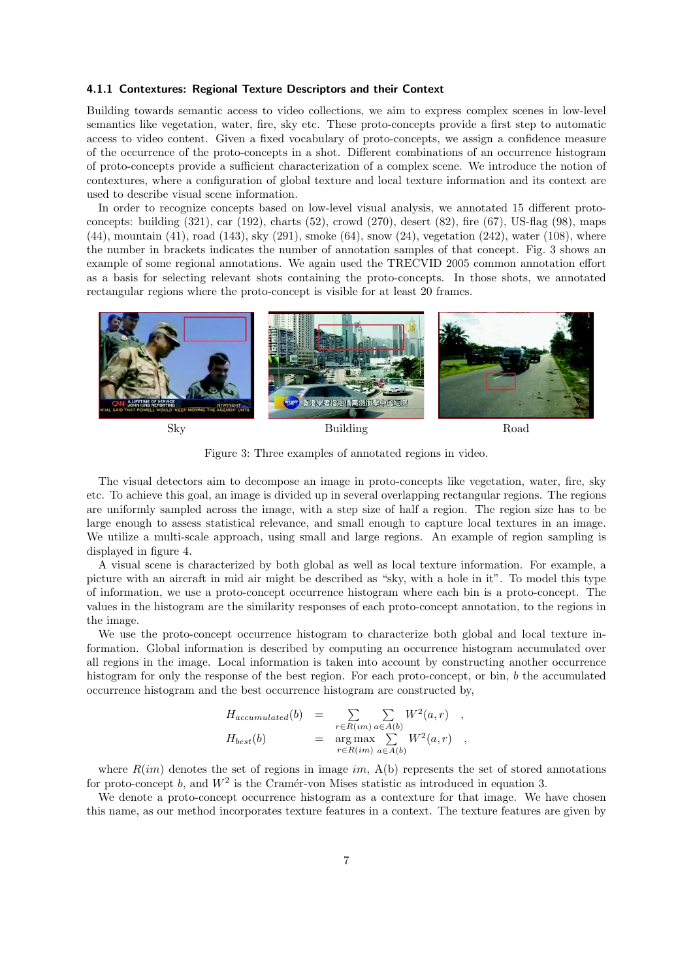## 4.1.1 Contextures: Regional Texture Descriptors and their Context

Building towards semantic access to video collections, we aim to express complex scenes in low-level semantics like vegetation, water, fire, sky etc. These proto-concepts provide a first step to automatic access to video content. Given a fixed vocabulary of proto-concepts, we assign a confidence measure of the occurrence of the proto-concepts in a shot. Different combinations of an occurrence histogram of proto-concepts provide a sufficient characterization of a complex scene. We introduce the notion of contextures, where a configuration of global texture and local texture information and its context are used to describe visual scene information.

In order to recognize concepts based on low-level visual analysis, we annotated 15 different protoconcepts: building (321), car (192), charts (52), crowd (270), desert (82), fire (67), US-flag (98), maps  $(44)$ , mountain  $(41)$ , road  $(143)$ , sky  $(291)$ , smoke  $(64)$ , snow  $(24)$ , vegetation  $(242)$ , water  $(108)$ , where the number in brackets indicates the number of annotation samples of that concept. Fig. 3 shows an example of some regional annotations. We again used the TRECVID 2005 common annotation effort as a basis for selecting relevant shots containing the proto-concepts. In those shots, we annotated rectangular regions where the proto-concept is visible for at least 20 frames.



Figure 3: Three examples of annotated regions in video.

The visual detectors aim to decompose an image in proto-concepts like vegetation, water, fire, sky etc. To achieve this goal, an image is divided up in several overlapping rectangular regions. The regions are uniformly sampled across the image, with a step size of half a region. The region size has to be large enough to assess statistical relevance, and small enough to capture local textures in an image. We utilize a multi-scale approach, using small and large regions. An example of region sampling is displayed in figure 4.

A visual scene is characterized by both global as well as local texture information. For example, a picture with an aircraft in mid air might be described as "sky, with a hole in it". To model this type of information, we use a proto-concept occurrence histogram where each bin is a proto-concept. The values in the histogram are the similarity responses of each proto-concept annotation, to the regions in the image.

We use the proto-concept occurrence histogram to characterize both global and local texture information. Global information is described by computing an occurrence histogram accumulated over all regions in the image. Local information is taken into account by constructing another occurrence histogram for only the response of the best region. For each proto-concept, or bin, b the accumulated occurrence histogram and the best occurrence histogram are constructed by,

$$
H_{accumulated}(b) = \sum_{r \in R(im)} \sum_{a \in A(b)} W^2(a, r) ,
$$
  
\n
$$
H_{best}(b) = \underset{r \in R(im)}{\arg \max} \sum_{a \in A(b)} W^2(a, r) ,
$$

where  $R(im)$  denotes the set of regions in image im,  $A(b)$  represents the set of stored annotations for proto-concept b, and  $W^2$  is the Cramér-von Mises statistic as introduced in equation 3.

We denote a proto-concept occurrence histogram as a contexture for that image. We have chosen this name, as our method incorporates texture features in a context. The texture features are given by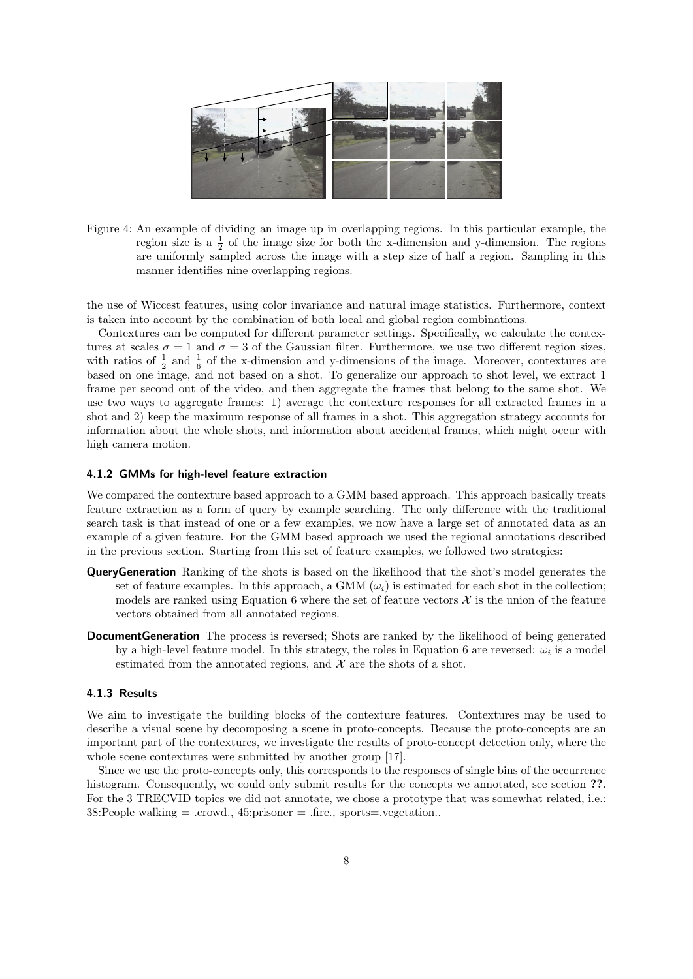

Figure 4: An example of dividing an image up in overlapping regions. In this particular example, the region size is a  $\frac{1}{2}$  of the image size for both the x-dimension and y-dimension. The regions are uniformly sampled across the image with a step size of half a region. Sampling in this manner identifies nine overlapping regions.

the use of Wiccest features, using color invariance and natural image statistics. Furthermore, context is taken into account by the combination of both local and global region combinations.

Contextures can be computed for different parameter settings. Specifically, we calculate the contextures at scales  $\sigma = 1$  and  $\sigma = 3$  of the Gaussian filter. Furthermore, we use two different region sizes, with ratios of  $\frac{1}{2}$  and  $\frac{1}{6}$  of the x-dimension and y-dimensions of the image. Moreover, contextures are based on one image, and not based on a shot. To generalize our approach to shot level, we extract 1 frame per second out of the video, and then aggregate the frames that belong to the same shot. We use two ways to aggregate frames: 1) average the contexture responses for all extracted frames in a shot and 2) keep the maximum response of all frames in a shot. This aggregation strategy accounts for information about the whole shots, and information about accidental frames, which might occur with high camera motion.

## 4.1.2 GMMs for high-level feature extraction

We compared the contexture based approach to a GMM based approach. This approach basically treats feature extraction as a form of query by example searching. The only difference with the traditional search task is that instead of one or a few examples, we now have a large set of annotated data as an example of a given feature. For the GMM based approach we used the regional annotations described in the previous section. Starting from this set of feature examples, we followed two strategies:

- **QueryGeneration** Ranking of the shots is based on the likelihood that the shot's model generates the set of feature examples. In this approach, a GMM  $(\omega_i)$  is estimated for each shot in the collection; models are ranked using Equation 6 where the set of feature vectors  $\mathcal X$  is the union of the feature vectors obtained from all annotated regions.
- **DocumentGeneration** The process is reversed; Shots are ranked by the likelihood of being generated by a high-level feature model. In this strategy, the roles in Equation 6 are reversed:  $\omega_i$  is a model estimated from the annotated regions, and  $\mathcal X$  are the shots of a shot.

#### 4.1.3 Results

We aim to investigate the building blocks of the contexture features. Contextures may be used to describe a visual scene by decomposing a scene in proto-concepts. Because the proto-concepts are an important part of the contextures, we investigate the results of proto-concept detection only, where the whole scene contextures were submitted by another group [17].

Since we use the proto-concepts only, this corresponds to the responses of single bins of the occurrence histogram. Consequently, we could only submit results for the concepts we annotated, see section ??. For the 3 TRECVID topics we did not annotate, we chose a prototype that was somewhat related, i.e.:  $38:$ People walking  $=$  .crowd.,  $45:$ prisoner  $=$  .fire., sports $=$ .vegetation..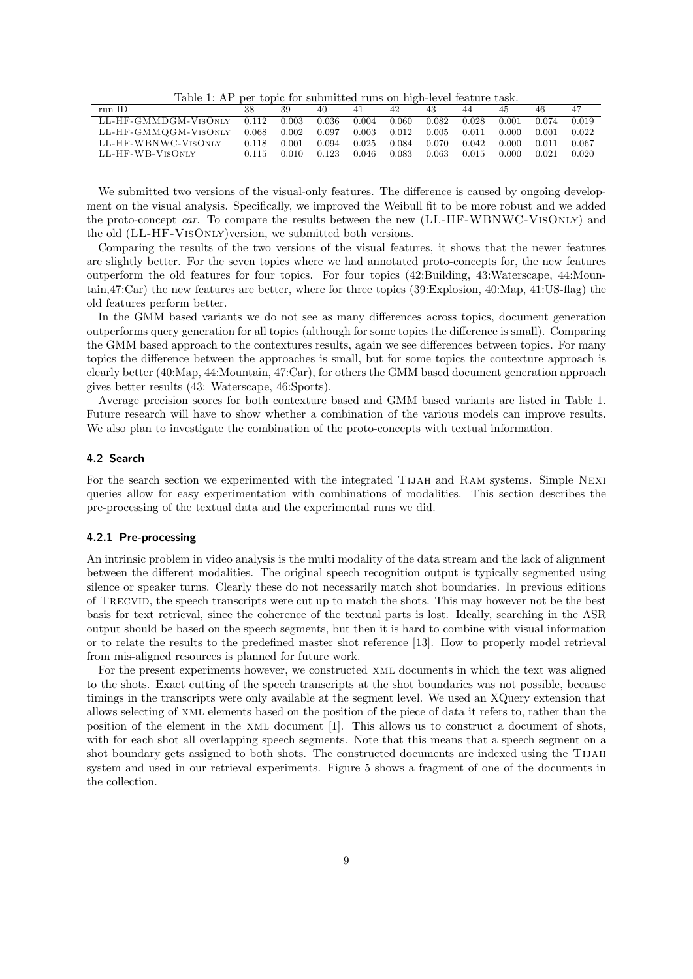Table 1: AP per topic for submitted runs on high-level feature task.

|       | 39    | 40    | 41    | 42    | 43    | 44    | 45    | 46    |       |
|-------|-------|-------|-------|-------|-------|-------|-------|-------|-------|
| 0.112 | 0.003 | 0.036 | 0.004 | 0.060 | 0.082 | 0.028 | 0.001 | 0.074 | 0.019 |
| 0.068 | 0.002 | 0.097 | 0.003 | 0.012 | 0.005 | 0.011 | 0.000 | 0.001 | 0.022 |
| 0.118 | 0.001 | 0.094 | 0.025 | 0.084 | 0.070 | 0.042 | 0.000 | 0.011 | 0.067 |
| 0.115 | 0.010 | 0.123 | 0.046 | 0.083 | 0.063 | 0.015 | 0.000 | 0.021 | 0.020 |
|       |       |       |       |       |       |       |       |       |       |

We submitted two versions of the visual-only features. The difference is caused by ongoing development on the visual analysis. Specifically, we improved the Weibull fit to be more robust and we added the proto-concept car. To compare the results between the new (LL-HF-WBNWC-VISONLY) and the old (LL-HF-VisOnly)version, we submitted both versions.

Comparing the results of the two versions of the visual features, it shows that the newer features are slightly better. For the seven topics where we had annotated proto-concepts for, the new features outperform the old features for four topics. For four topics (42:Building, 43:Waterscape, 44:Mountain,47:Car) the new features are better, where for three topics (39:Explosion, 40:Map, 41:US-flag) the old features perform better.

In the GMM based variants we do not see as many differences across topics, document generation outperforms query generation for all topics (although for some topics the difference is small). Comparing the GMM based approach to the contextures results, again we see differences between topics. For many topics the difference between the approaches is small, but for some topics the contexture approach is clearly better (40:Map, 44:Mountain, 47:Car), for others the GMM based document generation approach gives better results (43: Waterscape, 46:Sports).

Average precision scores for both contexture based and GMM based variants are listed in Table 1. Future research will have to show whether a combination of the various models can improve results. We also plan to investigate the combination of the proto-concepts with textual information.

## 4.2 Search

For the search section we experimented with the integrated TIJAH and RAM systems. Simple NEXI queries allow for easy experimentation with combinations of modalities. This section describes the pre-processing of the textual data and the experimental runs we did.

#### 4.2.1 Pre-processing

An intrinsic problem in video analysis is the multi modality of the data stream and the lack of alignment between the different modalities. The original speech recognition output is typically segmented using silence or speaker turns. Clearly these do not necessarily match shot boundaries. In previous editions of Trecvid, the speech transcripts were cut up to match the shots. This may however not be the best basis for text retrieval, since the coherence of the textual parts is lost. Ideally, searching in the ASR output should be based on the speech segments, but then it is hard to combine with visual information or to relate the results to the predefined master shot reference [13]. How to properly model retrieval from mis-aligned resources is planned for future work.

For the present experiments however, we constructed xml documents in which the text was aligned to the shots. Exact cutting of the speech transcripts at the shot boundaries was not possible, because timings in the transcripts were only available at the segment level. We used an XQuery extension that allows selecting of xml elements based on the position of the piece of data it refers to, rather than the position of the element in the xml document [1]. This allows us to construct a document of shots, with for each shot all overlapping speech segments. Note that this means that a speech segment on a shot boundary gets assigned to both shots. The constructed documents are indexed using the TIJAH system and used in our retrieval experiments. Figure 5 shows a fragment of one of the documents in the collection.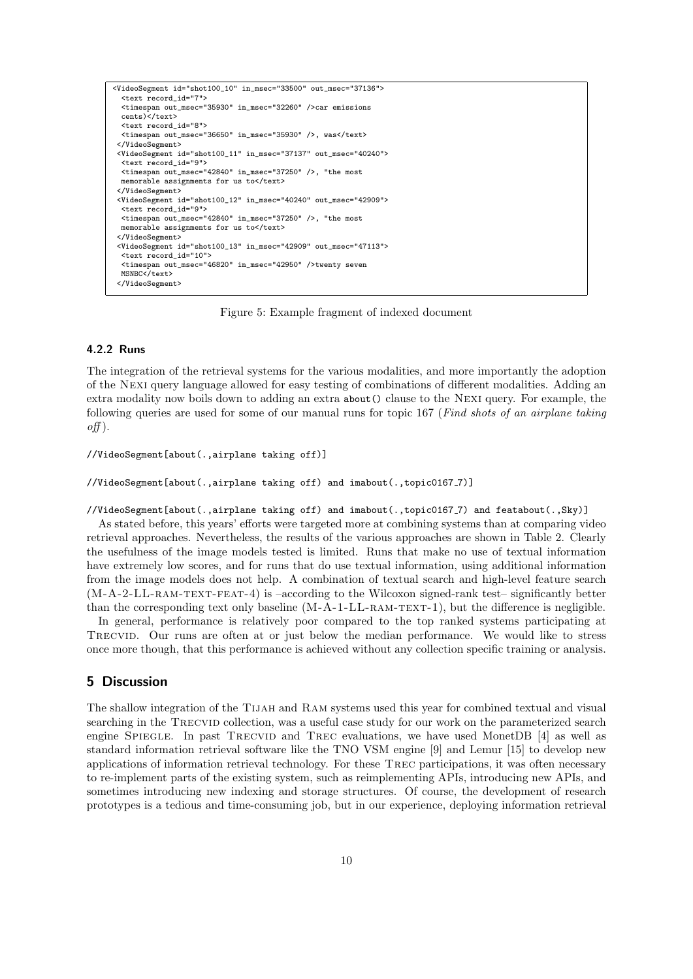```
<VideoSegment id="shot100_10" in_msec="33500" out_msec="37136">
  <text record_id="7">
 <timespan out_msec="35930" in_msec="32260" />car emissions
 cents)</text>
 <text record_id="8">
 <timespan out_msec="36650" in_msec="35930" />, was</text>
</VideoSegment>
 <VideoSegment id="shot100_11" in_msec="37137" out_msec="40240">
  <text record_id="9">
 \zetatimespan out msec="42840" in msec="37250" />, "the most
 memorable assignments for us to</text>
</VideoSegment>
<VideoSegment id="shot100_12" in_msec="40240" out_msec="42909">
 <text record_id="9">
 <timespan out_msec="42840" in_msec="37250" />, "the most
 memorable assignments for us to</text>
</VideoSegment>
<VideoSegment id="shot100_13" in_msec="42909" out_msec="47113">
 <text record_id="10">
 <timespan out_msec="46820" in_msec="42950" />twenty seven
 MSNBC</text>
 </VideoSegment>
```
Figure 5: Example fragment of indexed document

## 4.2.2 Runs

The integration of the retrieval systems for the various modalities, and more importantly the adoption of the Nexi query language allowed for easy testing of combinations of different modalities. Adding an extra modality now boils down to adding an extra about() clause to the Nexi query. For example, the following queries are used for some of our manual runs for topic 167 (Find shots of an airplane taking  $off$ ).

```
//VideoSegment[about(.,airplane taking off)]
```
//VideoSegment[about(.,airplane taking off) and imabout(.,topic0167 7)]

## //VideoSegment[about(.,airplane taking off) and imabout(.,topic0167 7) and featabout(.,Sky)]

As stated before, this years' efforts were targeted more at combining systems than at comparing video retrieval approaches. Nevertheless, the results of the various approaches are shown in Table 2. Clearly the usefulness of the image models tested is limited. Runs that make no use of textual information have extremely low scores, and for runs that do use textual information, using additional information from the image models does not help. A combination of textual search and high-level feature search  $(M-A-2-LL-RAM-TEXT-FEAT-4)$  is  $-according$  to the Wilcoxon signed-rank test– significantly better than the corresponding text only baseline  $(M-A-1-LL-RAM-TEXT-1)$ , but the difference is negligible.

In general, performance is relatively poor compared to the top ranked systems participating at Trecvid. Our runs are often at or just below the median performance. We would like to stress once more though, that this performance is achieved without any collection specific training or analysis.

# 5 Discussion

The shallow integration of the Tijah and Ram systems used this year for combined textual and visual searching in the TRECVID collection, was a useful case study for our work on the parameterized search engine SPIEGLE. In past TRECVID and TREC evaluations, we have used MonetDB [4] as well as standard information retrieval software like the TNO VSM engine [9] and Lemur [15] to develop new applications of information retrieval technology. For these Trec participations, it was often necessary to re-implement parts of the existing system, such as reimplementing APIs, introducing new APIs, and sometimes introducing new indexing and storage structures. Of course, the development of research prototypes is a tedious and time-consuming job, but in our experience, deploying information retrieval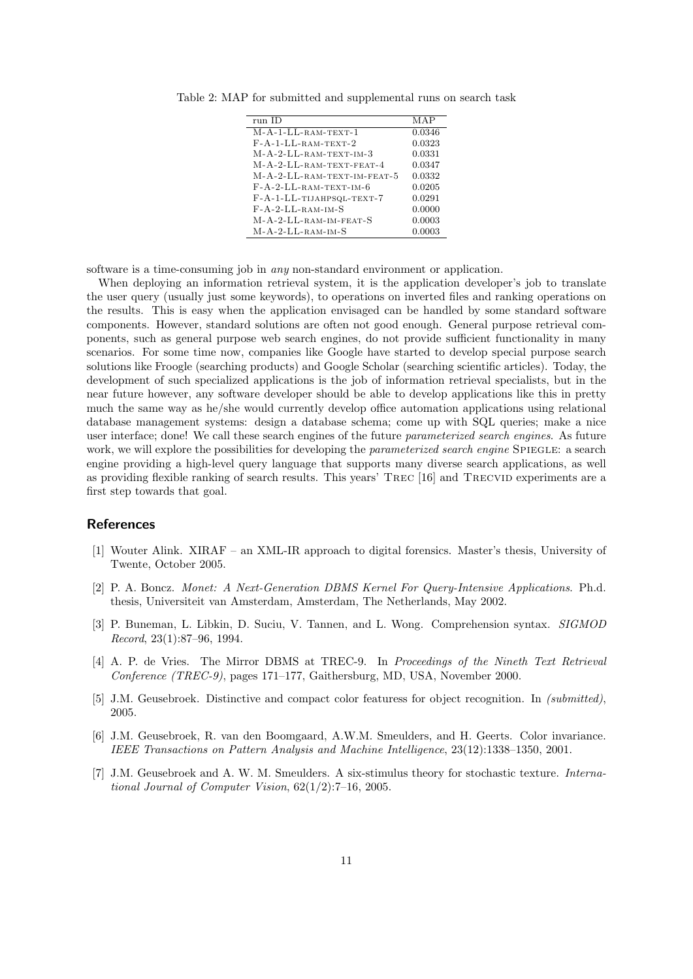| run ID                                 | MAP    |
|----------------------------------------|--------|
| $M-A-1-LL-RAM-TEXT-1$                  | 0.0346 |
| $F- A-1-LL-RAM-TEXT-2$                 | 0.0323 |
| M-A-2-LL-RAM-TEXT-IM-3                 | 0.0331 |
| $M-A-2-LL-RAM-TEXT-FEAT-4$             | 0.0347 |
| M-A-2-LL-RAM-TEXT-IM-FEAT-5            | 0.0332 |
| $F - A - 2 - LL - RAM - TEXT - IM - 6$ | 0.0205 |
| F-A-1-LL-TIJAHPSQL-TEXT-7              | 0.0291 |
| $F - A - 2 - LL - RAM - IM - S$        | 0.0000 |
| M-A-2-LL-RAM-IM-FEAT-S                 | 0.0003 |
| $M-A-2-LL-RAM-IM-S$                    | 0.0003 |

Table 2: MAP for submitted and supplemental runs on search task

software is a time-consuming job in any non-standard environment or application.

When deploying an information retrieval system, it is the application developer's job to translate the user query (usually just some keywords), to operations on inverted files and ranking operations on the results. This is easy when the application envisaged can be handled by some standard software components. However, standard solutions are often not good enough. General purpose retrieval components, such as general purpose web search engines, do not provide sufficient functionality in many scenarios. For some time now, companies like Google have started to develop special purpose search solutions like Froogle (searching products) and Google Scholar (searching scientific articles). Today, the development of such specialized applications is the job of information retrieval specialists, but in the near future however, any software developer should be able to develop applications like this in pretty much the same way as he/she would currently develop office automation applications using relational database management systems: design a database schema; come up with SQL queries; make a nice user interface; done! We call these search engines of the future parameterized search engines. As future work, we will explore the possibilities for developing the *parameterized search engine* SPIEGLE: a search engine providing a high-level query language that supports many diverse search applications, as well as providing flexible ranking of search results. This years' TREC [16] and TRECVID experiments are a first step towards that goal.

## References

- [1] Wouter Alink. XIRAF an XML-IR approach to digital forensics. Master's thesis, University of Twente, October 2005.
- [2] P. A. Boncz. Monet: A Next-Generation DBMS Kernel For Query-Intensive Applications. Ph.d. thesis, Universiteit van Amsterdam, Amsterdam, The Netherlands, May 2002.
- [3] P. Buneman, L. Libkin, D. Suciu, V. Tannen, and L. Wong. Comprehension syntax. SIGMOD Record, 23(1):87–96, 1994.
- [4] A. P. de Vries. The Mirror DBMS at TREC-9. In Proceedings of the Nineth Text Retrieval Conference (TREC-9), pages 171–177, Gaithersburg, MD, USA, November 2000.
- [5] J.M. Geusebroek. Distinctive and compact color featuress for object recognition. In (submitted), 2005.
- [6] J.M. Geusebroek, R. van den Boomgaard, A.W.M. Smeulders, and H. Geerts. Color invariance. IEEE Transactions on Pattern Analysis and Machine Intelligence, 23(12):1338–1350, 2001.
- [7] J.M. Geusebroek and A. W. M. Smeulders. A six-stimulus theory for stochastic texture. International Journal of Computer Vision, 62(1/2):7–16, 2005.